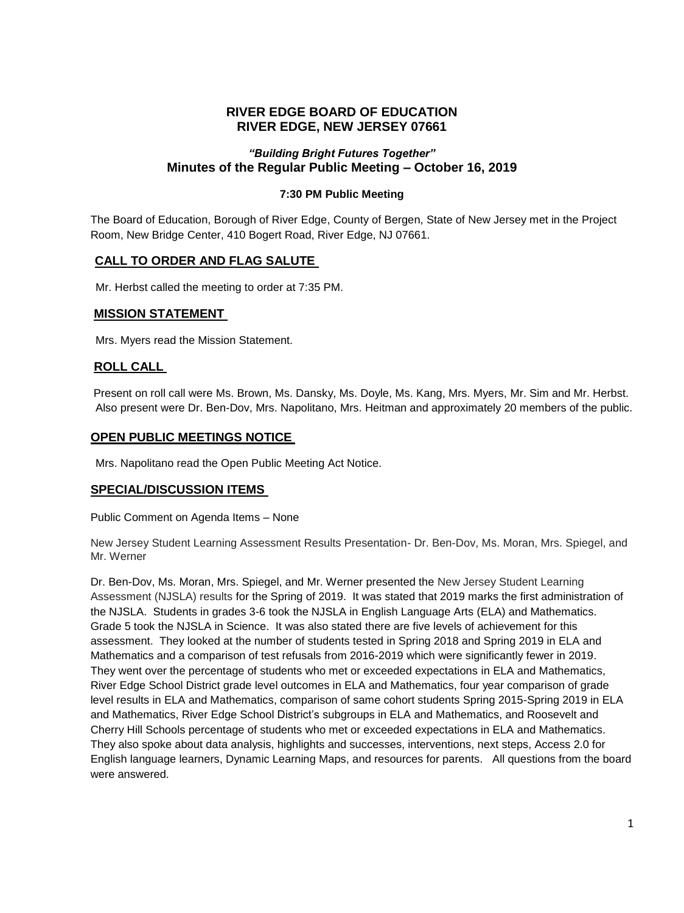# **RIVER EDGE BOARD OF EDUCATION RIVER EDGE, NEW JERSEY 07661**

### *"Building Bright Futures Together"* **Minutes of the Regular Public Meeting – October 16, 2019**

#### **7:30 PM Public Meeting**

The Board of Education, Borough of River Edge, County of Bergen, State of New Jersey met in the Project Room, New Bridge Center, 410 Bogert Road, River Edge, NJ 07661.

### **CALL TO ORDER AND FLAG SALUTE**

Mr. Herbst called the meeting to order at 7:35 PM.

#### **MISSION STATEMENT**

Mrs. Myers read the Mission Statement.

#### **ROLL CALL**

Present on roll call were Ms. Brown, Ms. Dansky, Ms. Doyle, Ms. Kang, Mrs. Myers, Mr. Sim and Mr. Herbst. Also present were Dr. Ben-Dov, Mrs. Napolitano, Mrs. Heitman and approximately 20 members of the public.

#### **OPEN PUBLIC MEETINGS NOTICE**

Mrs. Napolitano read the Open Public Meeting Act Notice.

#### **SPECIAL/DISCUSSION ITEMS**

Public Comment on Agenda Items – None

New Jersey Student Learning Assessment Results Presentation- Dr. Ben-Dov, Ms. Moran, Mrs. Spiegel, and Mr. Werner

Dr. Ben-Dov, Ms. Moran, Mrs. Spiegel, and Mr. Werner presented the New Jersey Student Learning Assessment (NJSLA) results for the Spring of 2019. It was stated that 2019 marks the first administration of the NJSLA. Students in grades 3-6 took the NJSLA in English Language Arts (ELA) and Mathematics. Grade 5 took the NJSLA in Science. It was also stated there are five levels of achievement for this assessment. They looked at the number of students tested in Spring 2018 and Spring 2019 in ELA and Mathematics and a comparison of test refusals from 2016-2019 which were significantly fewer in 2019. They went over the percentage of students who met or exceeded expectations in ELA and Mathematics, River Edge School District grade level outcomes in ELA and Mathematics, four year comparison of grade level results in ELA and Mathematics, comparison of same cohort students Spring 2015-Spring 2019 in ELA and Mathematics, River Edge School District's subgroups in ELA and Mathematics, and Roosevelt and Cherry Hill Schools percentage of students who met or exceeded expectations in ELA and Mathematics. They also spoke about data analysis, highlights and successes, interventions, next steps, Access 2.0 for English language learners, Dynamic Learning Maps, and resources for parents. All questions from the board were answered.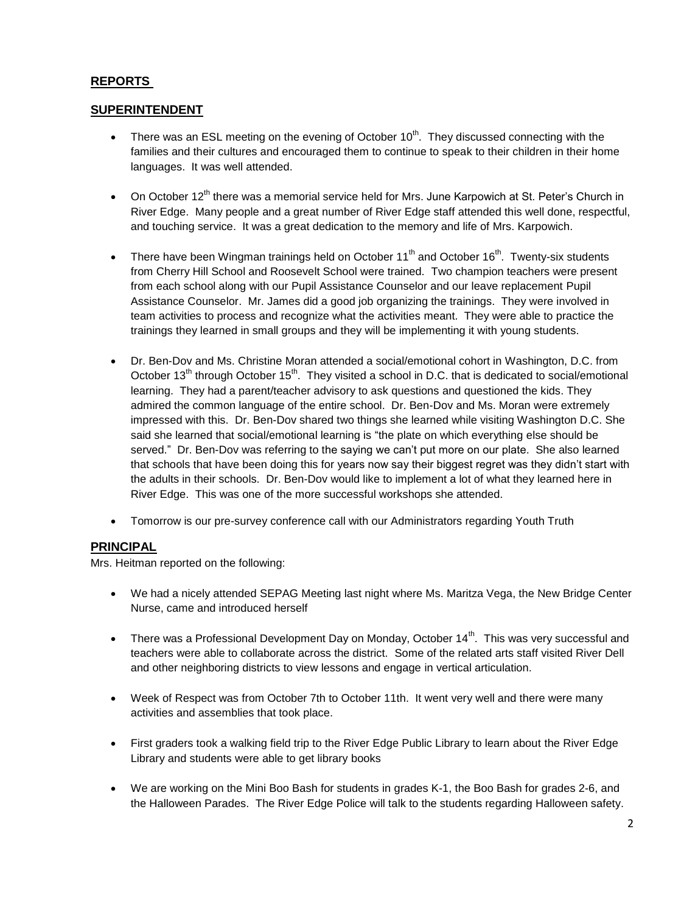# **REPORTS**

### **SUPERINTENDENT**

- There was an ESL meeting on the evening of October 10<sup>th</sup>. They discussed connecting with the families and their cultures and encouraged them to continue to speak to their children in their home languages. It was well attended.
- On October 12<sup>th</sup> there was a memorial service held for Mrs. June Karpowich at St. Peter's Church in River Edge. Many people and a great number of River Edge staff attended this well done, respectful, and touching service. It was a great dedication to the memory and life of Mrs. Karpowich.
- There have been Wingman trainings held on October  $11<sup>th</sup>$  and October  $16<sup>th</sup>$ . Twenty-six students from Cherry Hill School and Roosevelt School were trained. Two champion teachers were present from each school along with our Pupil Assistance Counselor and our leave replacement Pupil Assistance Counselor. Mr. James did a good job organizing the trainings. They were involved in team activities to process and recognize what the activities meant. They were able to practice the trainings they learned in small groups and they will be implementing it with young students.
- Dr. Ben-Dov and Ms. Christine Moran attended a social/emotional cohort in Washington, D.C. from October 13<sup>th</sup> through October 15<sup>th</sup>. They visited a school in D.C. that is dedicated to social/emotional learning. They had a parent/teacher advisory to ask questions and questioned the kids. They admired the common language of the entire school. Dr. Ben-Dov and Ms. Moran were extremely impressed with this. Dr. Ben-Dov shared two things she learned while visiting Washington D.C. She said she learned that social/emotional learning is "the plate on which everything else should be served." Dr. Ben-Dov was referring to the saying we can't put more on our plate. She also learned that schools that have been doing this for years now say their biggest regret was they didn't start with the adults in their schools. Dr. Ben-Dov would like to implement a lot of what they learned here in River Edge. This was one of the more successful workshops she attended.
- Tomorrow is our pre-survey conference call with our Administrators regarding Youth Truth

## **PRINCIPAL**

Mrs. Heitman reported on the following:

- We had a nicely attended SEPAG Meeting last night where Ms. Maritza Vega, the New Bridge Center Nurse, came and introduced herself
- There was a Professional Development Day on Monday, October  $14<sup>th</sup>$ . This was very successful and teachers were able to collaborate across the district. Some of the related arts staff visited River Dell and other neighboring districts to view lessons and engage in vertical articulation.
- Week of Respect was from October 7th to October 11th. It went very well and there were many activities and assemblies that took place.
- First graders took a walking field trip to the River Edge Public Library to learn about the River Edge Library and students were able to get library books
- We are working on the Mini Boo Bash for students in grades K-1, the Boo Bash for grades 2-6, and the Halloween Parades. The River Edge Police will talk to the students regarding Halloween safety.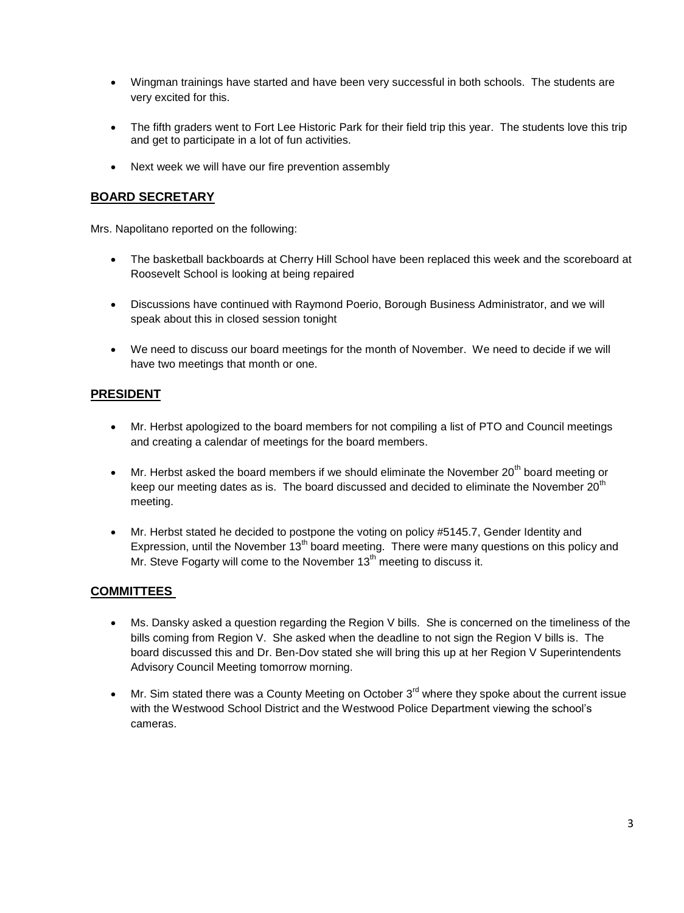- Wingman trainings have started and have been very successful in both schools. The students are very excited for this.
- The fifth graders went to Fort Lee Historic Park for their field trip this year. The students love this trip and get to participate in a lot of fun activities.
- Next week we will have our fire prevention assembly

# **BOARD SECRETARY**

Mrs. Napolitano reported on the following:

- The basketball backboards at Cherry Hill School have been replaced this week and the scoreboard at Roosevelt School is looking at being repaired
- Discussions have continued with Raymond Poerio, Borough Business Administrator, and we will speak about this in closed session tonight
- We need to discuss our board meetings for the month of November. We need to decide if we will have two meetings that month or one.

## **PRESIDENT**

- Mr. Herbst apologized to the board members for not compiling a list of PTO and Council meetings and creating a calendar of meetings for the board members.
- Mr. Herbst asked the board members if we should eliminate the November  $20<sup>th</sup>$  board meeting or keep our meeting dates as is. The board discussed and decided to eliminate the November  $20<sup>th</sup>$ meeting.
- Mr. Herbst stated he decided to postpone the voting on policy #5145.7, Gender Identity and Expression, until the November  $13<sup>th</sup>$  board meeting. There were many questions on this policy and Mr. Steve Fogarty will come to the November  $13<sup>th</sup>$  meeting to discuss it.

## **COMMITTEES**

- Ms. Dansky asked a question regarding the Region V bills. She is concerned on the timeliness of the bills coming from Region V. She asked when the deadline to not sign the Region V bills is. The board discussed this and Dr. Ben-Dov stated she will bring this up at her Region V Superintendents Advisory Council Meeting tomorrow morning.
- Mr. Sim stated there was a County Meeting on October  $3<sup>rd</sup>$  where they spoke about the current issue with the Westwood School District and the Westwood Police Department viewing the school's cameras.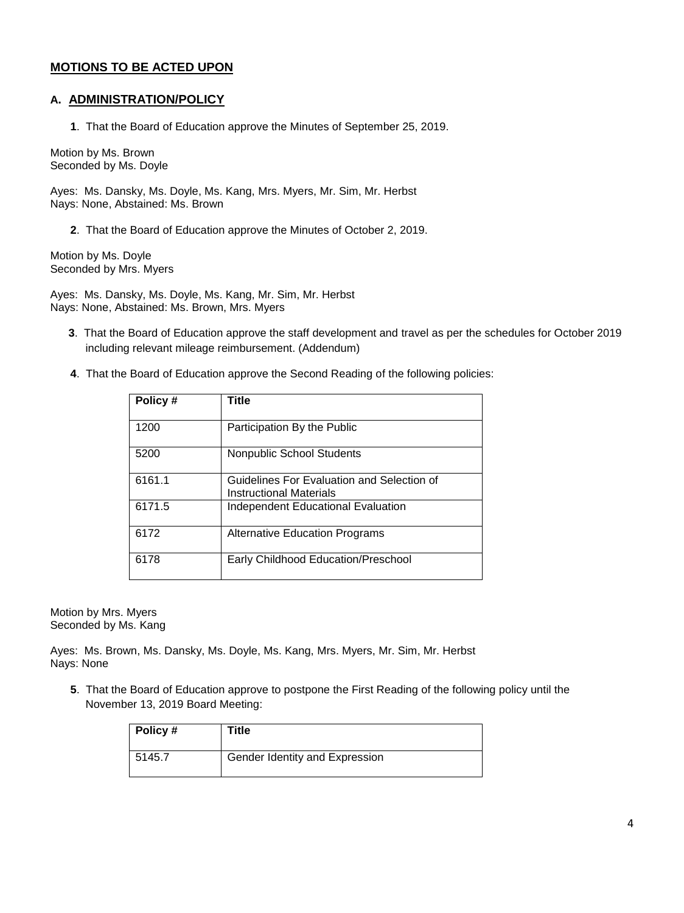## **MOTIONS TO BE ACTED UPON**

#### **A. ADMINISTRATION/POLICY**

**1**. That the Board of Education approve the Minutes of September 25, 2019.

Motion by Ms. Brown Seconded by Ms. Doyle

Ayes: Ms. Dansky, Ms. Doyle, Ms. Kang, Mrs. Myers, Mr. Sim, Mr. Herbst Nays: None, Abstained: Ms. Brown

**2**. That the Board of Education approve the Minutes of October 2, 2019.

Motion by Ms. Doyle Seconded by Mrs. Myers

Ayes: Ms. Dansky, Ms. Doyle, Ms. Kang, Mr. Sim, Mr. Herbst Nays: None, Abstained: Ms. Brown, Mrs. Myers

- **3**. That the Board of Education approve the staff development and travel as per the schedules for October 2019 including relevant mileage reimbursement. (Addendum)
- **4**. That the Board of Education approve the Second Reading of the following policies:

| Policy# | Title                                                                        |
|---------|------------------------------------------------------------------------------|
| 1200    | Participation By the Public                                                  |
| 5200    | <b>Nonpublic School Students</b>                                             |
| 6161.1  | Guidelines For Evaluation and Selection of<br><b>Instructional Materials</b> |
| 6171.5  | <b>Independent Educational Evaluation</b>                                    |
| 6172    | <b>Alternative Education Programs</b>                                        |
| 6178    | Early Childhood Education/Preschool                                          |

Motion by Mrs. Myers Seconded by Ms. Kang

Ayes: Ms. Brown, Ms. Dansky, Ms. Doyle, Ms. Kang, Mrs. Myers, Mr. Sim, Mr. Herbst Nays: None

**5**. That the Board of Education approve to postpone the First Reading of the following policy until the November 13, 2019 Board Meeting:

| Policy # | Title                          |
|----------|--------------------------------|
| 5145.7   | Gender Identity and Expression |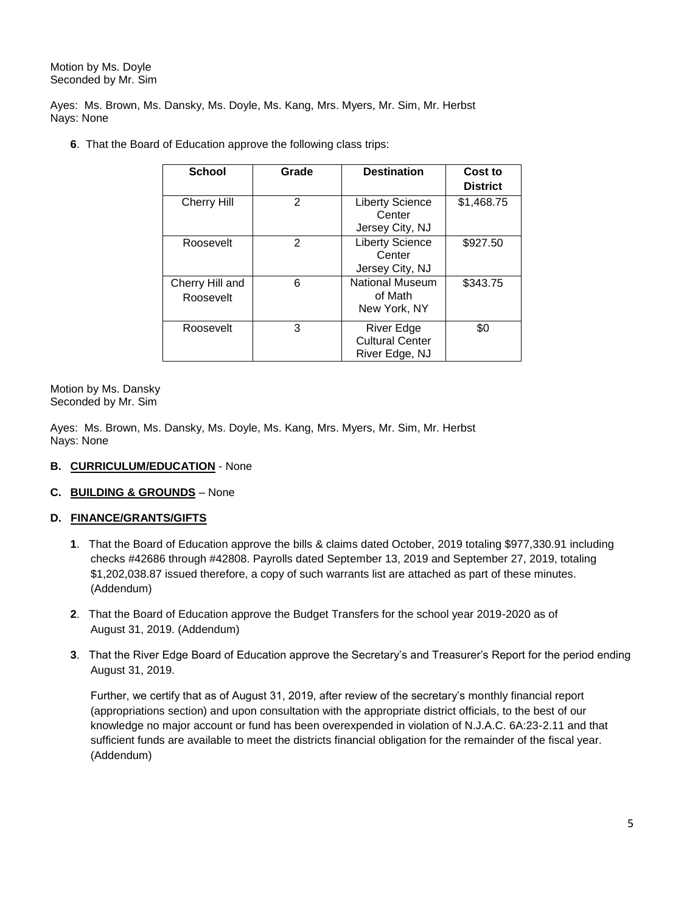Motion by Ms. Doyle Seconded by Mr. Sim

Ayes: Ms. Brown, Ms. Dansky, Ms. Doyle, Ms. Kang, Mrs. Myers, Mr. Sim, Mr. Herbst Nays: None

**6**. That the Board of Education approve the following class trips:

| <b>School</b>                | Grade         | <b>Destination</b>                                     | Cost to<br><b>District</b> |
|------------------------------|---------------|--------------------------------------------------------|----------------------------|
| <b>Cherry Hill</b>           | $\mathcal{P}$ | <b>Liberty Science</b><br>Center<br>Jersey City, NJ    | \$1,468.75                 |
| Roosevelt                    | 2             | <b>Liberty Science</b><br>Center<br>Jersey City, NJ    | \$927.50                   |
| Cherry Hill and<br>Roosevelt | 6             | <b>National Museum</b><br>of Math<br>New York, NY      | \$343.75                   |
| Roosevelt                    | 3             | River Edge<br><b>Cultural Center</b><br>River Edge, NJ | \$0                        |

Motion by Ms. Dansky Seconded by Mr. Sim

Ayes: Ms. Brown, Ms. Dansky, Ms. Doyle, Ms. Kang, Mrs. Myers, Mr. Sim, Mr. Herbst Nays: None

### **B. CURRICULUM/EDUCATION** - None

**C. BUILDING & GROUNDS** – None

### **D. FINANCE/GRANTS/GIFTS**

- **1**. That the Board of Education approve the bills & claims dated October, 2019 totaling \$977,330.91 including checks #42686 through #42808. Payrolls dated September 13, 2019 and September 27, 2019, totaling \$1,202,038.87 issued therefore, a copy of such warrants list are attached as part of these minutes. (Addendum)
- **2**. That the Board of Education approve the Budget Transfers for the school year 2019-2020 as of August 31, 2019. (Addendum)
- **3**. That the River Edge Board of Education approve the Secretary's and Treasurer's Report for the period ending August 31, 2019.

Further, we certify that as of August 31, 2019, after review of the secretary's monthly financial report (appropriations section) and upon consultation with the appropriate district officials, to the best of our knowledge no major account or fund has been overexpended in violation of N.J.A.C. 6A:23-2.11 and that sufficient funds are available to meet the districts financial obligation for the remainder of the fiscal year. (Addendum)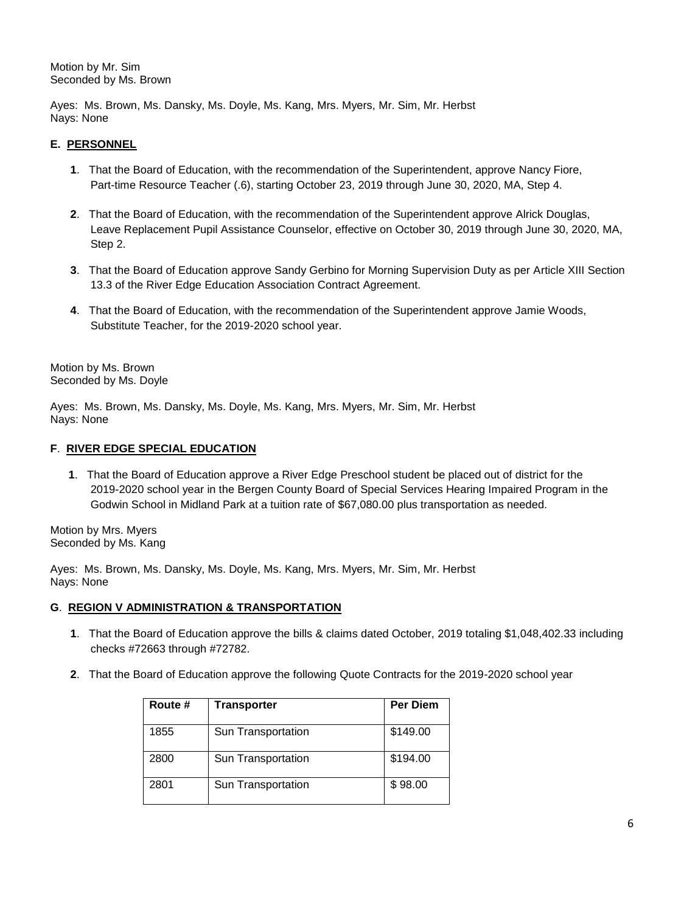Motion by Mr. Sim Seconded by Ms. Brown

Ayes: Ms. Brown, Ms. Dansky, Ms. Doyle, Ms. Kang, Mrs. Myers, Mr. Sim, Mr. Herbst Nays: None

### **E. PERSONNEL**

- **1**. That the Board of Education, with the recommendation of the Superintendent, approve Nancy Fiore, Part-time Resource Teacher (.6), starting October 23, 2019 through June 30, 2020, MA, Step 4.
- **2**. That the Board of Education, with the recommendation of the Superintendent approve Alrick Douglas, Leave Replacement Pupil Assistance Counselor, effective on October 30, 2019 through June 30, 2020, MA, Step 2.
- **3**. That the Board of Education approve Sandy Gerbino for Morning Supervision Duty as per Article XIII Section 13.3 of the River Edge Education Association Contract Agreement.
- **4**. That the Board of Education, with the recommendation of the Superintendent approve Jamie Woods, Substitute Teacher, for the 2019-2020 school year.

Motion by Ms. Brown Seconded by Ms. Doyle

Ayes: Ms. Brown, Ms. Dansky, Ms. Doyle, Ms. Kang, Mrs. Myers, Mr. Sim, Mr. Herbst Nays: None

#### **F**. **RIVER EDGE SPECIAL EDUCATION**

**1**. That the Board of Education approve a River Edge Preschool student be placed out of district for the 2019-2020 school year in the Bergen County Board of Special Services Hearing Impaired Program in the Godwin School in Midland Park at a tuition rate of \$67,080.00 plus transportation as needed.

Motion by Mrs. Myers Seconded by Ms. Kang

Ayes: Ms. Brown, Ms. Dansky, Ms. Doyle, Ms. Kang, Mrs. Myers, Mr. Sim, Mr. Herbst Nays: None

#### **G**. **REGION V ADMINISTRATION & TRANSPORTATION**

- **1**. That the Board of Education approve the bills & claims dated October, 2019 totaling \$1,048,402.33 including checks #72663 through #72782.
- **2**. That the Board of Education approve the following Quote Contracts for the 2019-2020 school year

| Route # | Transporter        | <b>Per Diem</b> |
|---------|--------------------|-----------------|
| 1855    | Sun Transportation | \$149.00        |
| 2800    | Sun Transportation | \$194.00        |
| 2801    | Sun Transportation | \$98.00         |